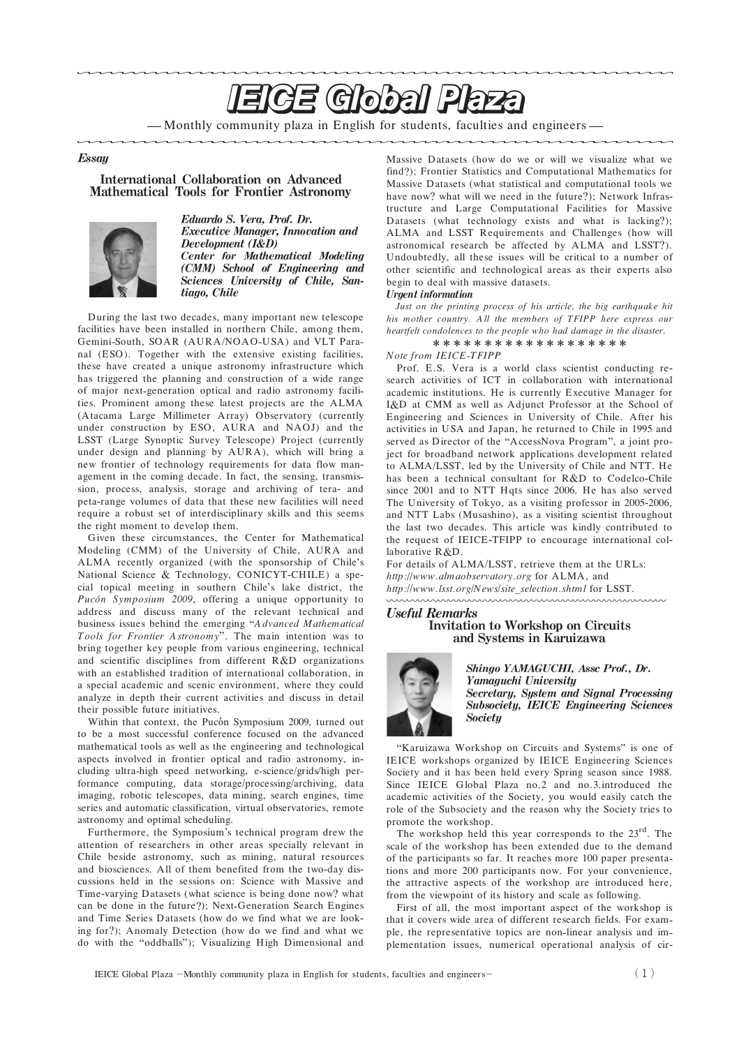# **EIGE Global Plaza**

— Monthly community plaza in English for students, faculties and engineers -

## **Essay**

## **International Collaboration on Advanced Mathematical Tools for Frontier Astronomy**



Eduardo S. Vera, Prof. Dr. **Executive Manager, Innovation and** Development (I&D) **Center for Mathematical Modeling** (CMM) School of Engineering and Sciences University of Chile, Santiago, Chile

During the last two decades, many important new telescope facilities have been installed in northern Chile, among them, Gemini-South, SOAR (AURA/NOAO-USA) and VLT Paranal (ESO). Together with the extensive existing facilities, these have created a unique astronomy infrastructure which has triggered the planning and construction of a wide range of major next generation optical and radio astronomy facili ties. Prominent among these latest projects are the ALMA (Atacama Large Millimeter Array) Observatory (currently under construction by ESO, AURA and NAOJ) and the LSST (Large Synoptic Survey Telescope) Project (currently under design and planning by AURA), which will bring a new frontier of technology requirements for data flow man agement in the coming decade. In fact, the sensing, transmis sion, process, analysis, storage and archiving of tera- and peta range volumes of data that these new facilities will need require a robust set of interdisciplinary skills and this seems the right moment to develop them.

Given these circumstances, the Center for Mathematical Modeling (CMM) of the University of Chile, AURA and ALMA recently organized (with the sponsorship of Chile's National Science & Technology, CONICYT-CHILE) a special topical meeting in southern Chile's lake district, the *Pucon Symposium 2009*, offering a unique opportunity to address and discuss many of the relevant technical and business issues behind the emerging "A dvanced Mathematical *Tools for Frontier A stronom y* . The main intention was to bring together key people from various engineering, technical and scientific disciplines from different  $R & D$  organizations with an established tradition of international collaboration, in a special academic and scenic environment, where they could analyze in depth their current activities and discuss in detail their possible future initiatives.

Within that context, the Pucón Symposium 2009, turned out to be a most successful conference focused on the advanced mathematical tools as well as the engineering and technological aspects involved in frontier optical and radio astronomy, in cluding ultra-high speed networking, e-science/grids/high performance computing, data storage/processing/archiving, data imaging, robotic telescopes, data mining, search engines, time series and automatic classification, virtual observatories, remote astronomy and optimal scheduling.

Furthermore, the Symposium's technical program drew the attention of researchers in other areas specially relevant in Chile beside astronomy, such as mining, natural resources and biosciences. All of them benefited from the two-day discussions held in the sessions on: Science with Massive and Time-varying Datasets (what science is being done now? what can be done in the future?); Next-Generation Search Engines and Time Series Datasets (how do we find what we are looking for?); Anomaly Detection (how do we find and what we do with the "oddballs"); Visualizing High Dimensional and

Massive Datasets (how do we or will we visualize what we find?); Frontier Statistics and Computational Mathematics for Massive Datasets (what statistical and computational tools we have now? what will we need in the future?); Network Infrastructure and Large Computational Facilities for Massive Datasets (what technology exists and what is lacking?); ALMA and LSST Requirements and Challenges (how will astronomical research be affected by ALMA and LSST?). Undoubtedly, all these issues will be critical to a number of other scientific and technological areas as their experts also begin to deal with massive datasets.

## **Urgent** information

Just on the printing process of his article, the big earthquake hit *his m other country. A ll the m em bers of TFIPP here express our heartfelt condolences to the people who had dam age in the disaster*.

\*\*\*\*\*\*\*\*\*\*\*\*\*\*\*\*\*\*\*

#### *N ote from IEICE TFIPP*

Prof. E.S. Vera is a world class scientist conducting re search activities of ICT in collaboration with international academic institutions. He is currently Executive Manager for I&D at CMM as well as Adjunct Professor at the School of Engineering and Sciences in University of Chile. After his activities in USA and Japan, he returned to Chile in 1995 and served as Director of the "AccessNova Program", a joint project for broadband network applications development related to ALMA/LSST, led by the University of Chile and NTT. He has been a technical consultant for R&D to Codelco-Chile since 2001 and to NTT Hqts since 2006. He has also served The University of Tokyo, as a visiting professor in 2005-2006, and NTT Labs (Musashino), as a visiting scientist throughout the last two decades. This article was kindly contributed to the request of IEICE-TFIPP to encourage international collaborative R&D.

For details of ALMA/LSST, retrieve them at the URLs: *http: www.alm aobservatory.org* for ALMA, and *http: www.lsst.org News site selection.shtml* for LSST. nnnnnnnnnnnnnn

## **Useful Remarks Invitation to Workshop on Circuits** and Systems in Karuizawa



Shingo YAMAGUCHI, Assc Prof., Dr. Yamaguchi University Secretary, System and Signal Processing **Subsociety, IEICE Engineering Sciences Societu** 

"Karuizawa Workshop on Circuits and Systems" is one of IEICE workshops organized by IEICE Engineering Sciences Society and it has been held every Spring season since 1988. Since IEICE Global Plaza no.2 and no.3.introduced the academic activities of the Society, you would easily catch the role of the Subsociety and the reason why the Society tries to promote the workshop.

The workshop held this year corresponds to the 23<sup>rd</sup>. The scale of the workshop has been extended due to the demand of the participants so far. It reaches more 100 paper presenta tions and more 200 participants now. For your convenience, the attractive aspects of the workshop are introduced here, from the viewpoint of its history and scale as following.

First of all, the most important aspect of the workshop is that it covers wide area of different research fields. For exam ple, the representative topics are non linear analysis and im plementation issues, numerical operational analysis of cir